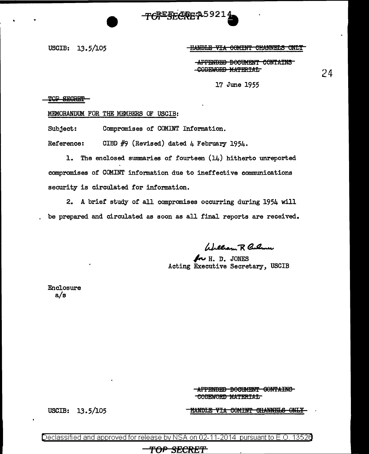TONE SECRET 25921

USCIB: 13.5/105

HANDLE VIA COMINT CHANNELS ONLY

APPENDED BOCUMENT CONTAINS -CODEWORD MATERIAL

24

17 June 1955

TOP SECRET

MEMORANDUM FOR THE MEMBERS OF USCIB:

Subject: Compromises of COMINT Information.

Reference: CIBD  $#9$  (Revised) dated 4 February 1954.

1. The enclosed summaries of fourteen  $(14)$  hitherto unreported compromises of COMINT information due to ineffective communications security is circulated for information.

2. A brief study of all compromises occurring during 1954 will be prepared and circulated as soon as all final reports are received.

William R Culmer

~ H. D. JONES Acting Executive Secretary, USCIB

Enclosure a/s

> -APPENDED BOCUMENT GONTAINS CODEWORD MATERIAL

USCIB: 13.5/105

<u>HANDLE VIA COMINT CHANNELS ONLY</u>

)eclassified and approved for release by NSA on 02-11-2014  $\,$  pursuant to E.O. 1352 $\epsilon$ 

TOP SECRET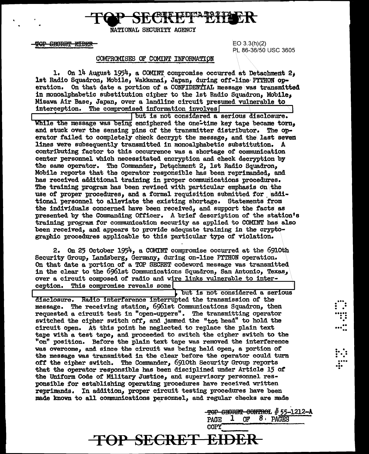

NATIONAL SECURITY AGENCY

**TOP SECRET EIDER** 

EO 3.3(h)(2) PL 86-36/50 USC 3605

### COMPROMISES OF COMINT INFORMATION

1. On  $14$  August 1954, a COMINT compromise occurred at Detachment 2, 1st Radio Squadron, Mobile, Wakkanai, Japan, during off-line PYTHON operation. On that date a portion of a CONFIDENTIAL message was transmitted in monoalphabetic substitution cipher to the lst Radio Squadron. Mobile. Misawa Air Base, Japan, over a landline circuit presumed vulnerable to interception. The compromised information involves The compromised information involves

 $\lceil$  but is not considered a serious disclosure. While the message was being enciphered the one-time key tape became torn, and stuck over the sensing pins of the transmitter distributor. The operator failed to completely check decrypt the message, and the\ last seven lines were subsequently transmitted in monoalphabetic substitution. A contributing factor to this occurrence was a shortage of communication center personnel which necessitated encryption and check decryption by the same operator. The Commander, Detachment 2, 1st Radio Squadron, Mobile reports that the operator responsible bas been reprimanded, and has received additional training in proper communications procedures. The training program has been revised with particular emphasis on the use of proper procedures, and a formal requisition submitted for additional personnel to alleviate the existing shortage. Statements from the individuals concerned have been received, and support the facts as presented by the Commanding Officer. A brief description of the station's training program for communication security as applied to COMINT has also been received, and appears to provide adequate training in the cryptographic procedures applicable to this particular type of violation.

2. On 25 October 1954, a COMINT compromise occurred at the 6910th Security Group, Landsberg, Germany, during on-line PYTHON operation. On that date a portion of a TOP SECRET codeword message was transmitted. in the clear to the 6961st Communications Squadron, San Antonio, Texas,, over a circuit composed of radio and wire links vulnerable to inter• caption. This compromise reveals some

but is not considered a serious disclosure. Radio interference interrupted the transmission of the message. The receiving station, 6g6lst Communications Squadron, then requested a circuit test in "open-uppers". The transmitting operator switched the cipher switch off, and jammed the "tot head" to hold the circuit open. At this point he neglected to replace the plain text tape with a test tape, and proceeded to switch the cipher switch to the "on" position. Before the plain text tape was removed the interference was overcome, and since the circuit was being held open, a portion of the message was transmitted in the clear before the operator could turn off the cipher switch. The Commander, 6910th Security Group reports that the operator responsible has been disciplined under Article 15 *ot*  the Uniform Code of Military Justice, and supervisory personnel responsible for establishing operating procedures have received written reprimands. In addition, proper circuit testing procedures have been made known to all communications personnel, and regular checks are made

**TOP SECRET EIDER** 

-TOP SECRET CONTROL # 55-1212-A PAGE  $1$  OF  $8 \cdot$  PAGES COPY "

...<br>. . .<br>....<br>...<br>..

.. ... ..

. . .<br>:<br>:  $\ddot{\mathbf{r}}$  . .... ... • •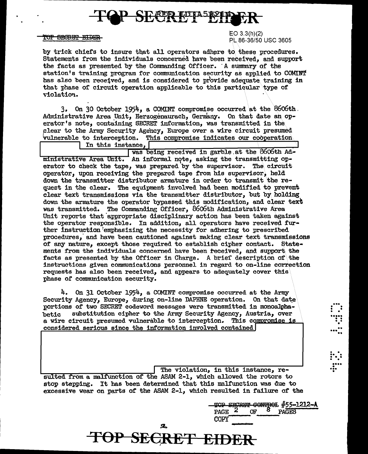

#### TOP SECRET EIDER

 $EO$  3.3(h)(2) PL 86-36/50 USC 3605

by trick chiefs to insure that all operators adhere to these procedures. Statements from the individuals concerned have been received. and support the facts as presented by the Commanding Officer. A summary of the station's training program for communication security as applied to COMINT has also been received, and is considered to provide adequate training in that phase of circuit operation applicable to this particular type of violation.

 $3.$  On 30 October 1954, a COMINT compromise occurred at the 8606th. Administrative Area Unit, Herzogenaurach, Germany. On that date an operator's note, containing SECRET information, was transmitted in the plear to the Army Security Agency, Europe over a wire circuit presumed vulnerable to interception. This compromise indicates our cooperation

In this instance,

was being received in garble at the 8606th Administrative Area Unit. An informal note, asking the transmitting operator to check the tape, was prepared by the supervisor. The circuit operator, upon receiving the prepared tape from his supervisor, held down the transmitter distributor armature in order to transmit the request in the clear. The equipment involved had been modified to prevent clear text transmissions via the transmitter distributor, but by holding down the armature the operator bypassed this modification, and clear text was transmitted. The Commanding Officer, 8606th Administrative Area Unit reports that appropriate disciplinary action has been taken against the operator responsible. In addition, all operators have received further instruction emphasizing the necessity for adhering to prescribed procedures, and have been cautioned against making clear text transmissions of any nature, except those required to establish cipher contact. Statements from the individuals concerned have been received, and support the facts as presented by the Officer in Charge. A brief description of the instructions given communications personnel in regard to on-line correction requests has also been received, and appears to adequately cover this phase of communication security.

4. On 31 October 1954, a COMINT compromise occurred at the Army Security Agency, Europe, during on-line DAPHNE operation. On that date portions of two SECRET codeword messages were transmitted in monoalphasubstitution cipher to the Army Security Agency, Austria, over hetic a wire circuit presumed vulnerable to interception. This compromise is considered serious since the information involved contained

The violation, in this instance, resulted from a malfunction of the ASAM 2-1, which allowed the rotors to stop stepping. It has been determined that this malfunction was due to excessive wear on parts of the ASAM 2-1, which resulted in failure of the

TOP SECRET EIDER

TOP SECRET CONTROL #55-1212-A Œ **PAGE** PAGES COPY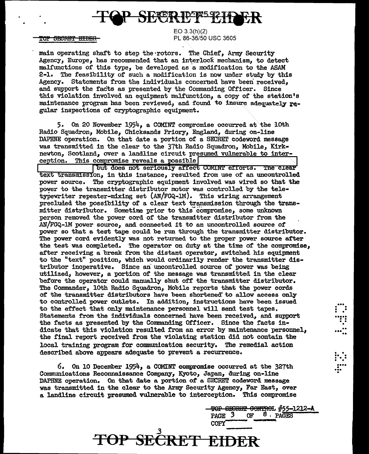

<del>TOP SECRET EIDER</del>

EO 3.3(h)(2) PL 86-36/50 USC 3605

main operating shaft to step the rotors. The Chief, Army Security Agency, Europe, has recommended that an interlock mechanism, to detect malfunctions of this type, be developed as a modification to the ASAM  $2 - 1$ . The feasibility of such a modification is now under study by this Agency. Statements from the individuals concerned have been received, and support the facts as presented by the Commanding Officer. Since this violation involved an equipment malfunction, a copy of the station's maintenance program has been reviewed, and found to insure adequately  $r_{d}$ . gular inspections of cryptographic equipment.

5. On 20 November  $1954$ , a COMINT compromise occurred at the lOth Radio Squadron, Mobile, Chicksands Priory, England, during on-line DAPHNE operation. On that date a portion of a SECRET codeword message was transmitted in the clear to the 37th Radio Squadron, Mobile, Kirknewton, Scotland, over a landline circuit presumed vulnerable to interception. This compromise reveals a possible

but does not seriously affect COMINT efforts. The clear text transmission, in this instance, resulted from use of an uncontrolled power source. The cryptographic equipment involved was wired so that the power to the transmitter distributor motor was controlled by the teletype $\pi$ riter repeater-mixing set  $\text{AN}/\text{FGQ-1M}$ . This wiring arrangement precluded the possibility of a clear text transmission through the transmitter distributor. Sometime prior to this~compromise, some unknown person removed the power cord of' the transmitter distributor from the .AN/FGQ-JllI. power source, and connected it to an uncontrolled source of power so that a test tape could be run through the transmitter distributor. The power cord evidently was not returned to the proper power source after the test was completed. The operator on duty at the time of the compromise, after receiving a break from the distant operator, switched his equipment to the "text" position, which would ordinarily render the transmitter dis• tributor inoperative. Since an uncontrolled source of power was being utilized, however, a portion of the message was transmitted in the clear before the operator could manually shut off the transmitter distributor. The Commander, loth Radio Squadron, Mobile reports that the power cords *ot* the transmitter distributors have been shortened.' to al1ow access only to controlled power outlets. In addition, instructions have been issued to the effect that only maintenance personnel will send test tapes. Statements from the individuals concerned have been received, and support the facts as presented by the Commanding Officer. Since the facts indicate that this violation resulted from an error by maintenance personnel, the final report received from the violating station did not contain the local training program for communication security. The remedial action described above appears adequate to prevent a recurrence.

6. On 10 December 1954, a COMINT compromise occurred at the 327th Communications Reconnaissance Company, Kyoto, Japan, during on-line DAPHNE operation. On that date a portion of a SECRET codeword message was transmitted in the clear to the Army Security Agency, Far East, over a landline circuit presumed vulnerable to interception. This compromise

*.3* 

**TOP SECRET EIDER** 

<del>- TOP SECRET CONTROL #55-1212-A</del><br>PAGE 3 OF 8 PAGES OF 8 PAGES  $COPY$ 

... . . . . . . ..... . . .. .

.<br>...<u>..</u>

 $\mathbf{L}$  :

...<br>....<br>...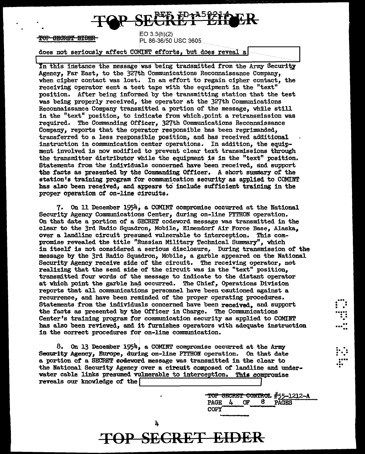## SE<del>UKË I ËNQ</del>EK

TOP SECRET EIDER

E03:3(h)(2) PL 86-36/50 USC 3605

does not seriously affect COMINT efforts, but does reveal a

In this instance the message was being transmitted from the Army Security Agency, Far East, to the 327th Communications Reconnaissance Company, when cipher contact was lost. In an effort to regain cipher contact, the receiving operator sent a test tape with the equipment in the "text" position. After being informed by the transmitting station that the test was being properly received, the operator at the 327th Communications Reconnaissance Company transmitted a portion of the message, while still in the "text" position, to indicate from which,point a retransmission was required. The Commanding Officer, 327th Communications Reconnaissance Company, reports that the operator responsible has been reprimanded, transferred to a less responsible position, and has received adtlitional instruction in communication center operations. In addition, the equipment involved is now modified to prevent clear text transmissions through the transmitter distributor while the equipment is in the "text" position. Statements from the individuals concerned have been received, and support the facts as presented by the Commanding Officer. A short summary of the station's training program for communication security as applied to COMINT has also been received, and appears to include sufficient training in the proper operation of on-line circuits.

7. On 11 December 1954, a COMIMT compromise occurred at the National Security Agency Communications Center, during on-line PITHON operation. On that date a portion of' a SECRET codeword message was transmitted in the clear to the 3rd Radio Squadron, Mobile, Elmendorf Air Force Base, Alaska, over a landline circuit presumed vulnerable to interception. This compromise revealed the title "Russian Military Technical Summary", which in itself is not considered a serious disclosure, During transmission of the message by the 3rd Radio Squadron, Mobile, a garble appeared on the National Security Agency receive side of the circuit. The receiving operator, not realizing that the send side of the circuit was in the "text" position, transmitted four words of the message to indicate to the distant operator at which point the garble had occurred. The Chief, Operations Division reports that all communications personnel have been eautioned against a recurrence, and have been reminded of the proper operating procedures. Statements from the individuals concerned have been received, and support the facts as presented by the Officer in Charge. The Communications Center's training program for communication security as applied to COMINT bas also been reViewed, and it furnishes operators with adequate instruction in the correct procedures for on-line communication.

8. On 13 December 1954, a COMINT compromise occurred at the Army Security Agency, Europe, during on-line PYTHON operation. On that date a portion *ot* a SECRET codeword message was transmitted in the clear to the National Security Agency over a circuit composed of landline and underwater cable links presumed vulnerable to interception. This compromise reveals our knowledge of the

**TOP SECRET EIDER** 

**-TOP SECRET CONTROL #55-1212-A**<br>PAGE 4 OF 8 PAGES PAGE  $4$ COPY

 $\vdots$  .

..... . . . . .

.. ... ••

. . .. . ... . . .... ... • ...<br>...<br>.

4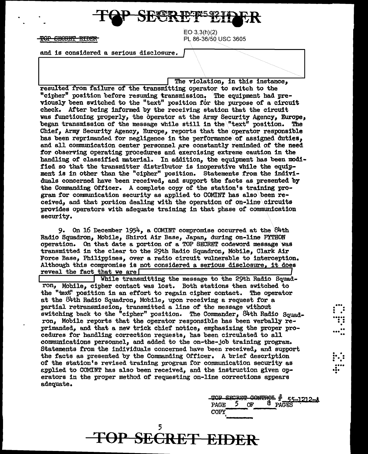$EO-3.3(h)(2)$ <del>**#OP SECRET EIDER** PL 86-36/50 USC 3605</del>

and is considered a serious disclosure.

The violation, in this instance, resulted from failure of the transmitting operator to switch to the "cipher" position before resuming transmission. The equipment had previously been switched to the "text" position for the purpose of a circuit check. After being informed by the receiving station that the circuit was functioning properly, the operator at the Army Security Agency, Europe, began transmission of the message while still in the\"text" position. The Chief, Army Security Agency, Europe, reports that the operator responsible has been reprimanded for negligence in the performance of assigned duties, and all communication center personnel are constantly reminded of the need for observing operating procedures and exercising extreme caution in the handling of classified material. In addition, the equipment has been modified so that the transmitter distributor is inoperative while the equipment is in other than the "cipher" position. Statements from the individuals concerned have been received, and support the facts as presented by the Commanding Officer. A complete copy of the station's training program for communication security as applied to COMINT has also been received, and that portion dealing with the operation of on-line\circuits provides operators with adequate training in that phase of communication security.

9. On 16 December 1954, a COMINT compromise occurred at the 84th Radio Squadron, Mobile, Shiroi Air Base, Japan, during on-line PrrHON operation. On that date a portion of a TOP SECRET codeword message was transmitted in the clear to the 29th Radio Squadron, Mobile, Clark Air Force Base, Philippines, over a radio circuit vulnerable to interception. Although this compromise is not considered a serious disclosure, it does reveal the fact that we are

While transmitting the message to the 29th Radio Squadron, Mobile, cipher contact was lost. Both stations then switched to the "text" position in an effort to regain cipher contact. The operator at the 84th Radio Squadron, Mobile, upon receiving a request for a partial retransmission, transmitted a line of the message without switching back to the "cipher" position. The Commander, 84th Radio Squadron, Mobile reports that the operator responsible has been verbally reprimanded, and that a new trick chief notice, emphasizing the proper procedures for handling correction requests, bas been circulated to all comrmznications personnel, and added to the on-the-Job training program. Statements from the individuals concerned have been received, and support the facts as presented by the Commanding Officer. A brief description *ot* the station's revised training program ror communication security as &pplied to COMINT has also been received, and the instruction given operators in the proper method of requesting on-line corrections appears adequate.

5

**TOP SECRET EIDER** 

 $~\frac{\text{TOP}}{\text{B} \text{B} \text{C} \text{R} \text{C} \text{F}}$   $~\frac{\text{GOP}}{\text{O} \text{C} \text{C} \text{F}}$   $~\frac{\text{POP}}{\text{D} \text{A} \text{C} \text{E} \text{S}}$ COPY ·---

...<br>...<br>....<br>...

• .. ••• ..

. .  $\vdots$  : .... •!•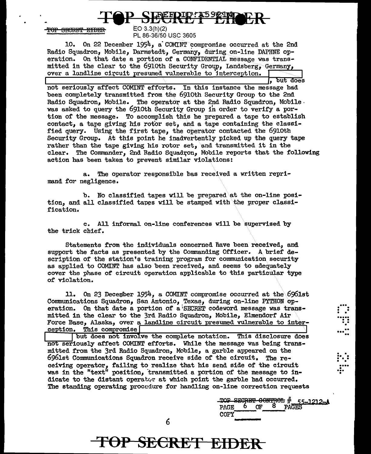<del>SECRET EIDER</del> <del>TOP</del>

### $EO-3.3(h)(2)$ PL 86-36/50 USC 3605

10. On 22 December 1954, a COMINT compromise occurred at the 2nd Radio Squadron, Mobile, Darmstadt, Germany, during on-line DAPHNE operation. On that date a portion of a CONFIDENTIAL message was transmitted in the clear to the 6910th Security Group, Landsberg, Germany, over a landline circuit presumed vulnerable to interception.

the seriously affect COMINT efforts. In this instance the message had been completely transmitted from the 69loth Security Group to the 2nd Radio Squadron, Mobile. The operator at the 2nd Radio Squadron, Mobile. was asked to query the 691oth Security Group in order to verify a portion of the message. To accomplish this he prepared a tape to establish contact, a tape giving his rotor set, and a tape containing the classified query. Using the first tape, the operator contacted the 6910th Security Group. At this point he inadvertently picked up the query tape rather than the tape giving his rotor set, and transmitted it in the clear. The Commander, 2nd Radio Squadron, Mobile reports that the following action has been taken to prevent similar violations:

a. The operator responsible bas received a written reprimand for negligence.

b. No classified tapes vlll be prepared at the on-line position, and all classified tapes will be stamped with the proper classification.

c. All informal on-line conferences will be supervised by the trick chief'.

Statements from the individuals concerned have been received, and support the facts as presented by the Connnanding Officer. A brief description or the station's training program for communication security as applied to COMINT has also been received, and seems to adequately cover the phase of circuit operation applicable to this particular type of violation.

11. On 23 December 1954, a COMINT compromise occurred at the  $696$ lst Communications Squadron, San Antonio, Texas, during on-line PYTHON operation. On that date a portion of a SECRET codeword message was transmitted in the clear to the 3rd Radio Squadron, Mobile, Elmendorf Air Force Base, Alaska, over a landline circuit presumed vulnerable to interception. This compromise

but does not involve the complete notation. This disclosure does not seriously affect COMINT efforts. While the message was being transmitted from the 3rd Radio Squadron, Mobile, a garble appeared on the 6961st Connnunications Squadron receive side of the circuit, The receiving operator, failing to realize that his send side of the circuit was in the "text" position, transmitted a portion of the message to indicate to the distant operator at which point the garble had occurred. The standing operating procedure for handling on-line correction requests

**TOP SECRET EIDER** 

|             |    |           |   |       | TOP SECRET CONTROL # 55-1212-A |
|-------------|----|-----------|---|-------|--------------------------------|
| <b>PAGE</b> | b. | <b>OF</b> | 8 | PAGES |                                |
| COPY        |    |           |   |       |                                |
|             |    |           |   |       |                                |

 $\mathbf{...}$ . • . • ..... . . . . .

...<br>.....

 $\vdots$  . .... ... • •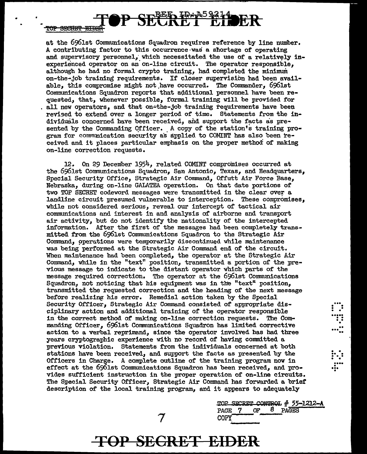**SECRET EIDEN** 

at the 6961st Conununications Squadron requires reference by line number. A contributing factor to this occurrence·was a shortage of operating and supervisory personnel, which necessitated the use of a relatively inexperienced operator on an on-line circuit. The operator responsible, although he had no formal crypto training, had completed the minimum on-the•job training requirements. If closer supervision had been avail• able, this compromise might not.have occurred. The Commander, 696lst Communications Squadron reports that additional personnel have been requested, that, whenever possible, formal training will be provided for all new operators, and that on-the-job training requirements have been revised to extend over a longer period or time. Statements from the individuals concerned have been received, and support the facts as presented by the Commanding Officer. A copy of the station's training program for communication security as applied to COMINT has also been received and it places particular emphasis on the proper method of making on-line correction requests.

OP SECRET EIDER

12. On 29 December 1954, related COMINT compromises occurred at the 696lst Communications Squadron, San Antonio, Texas, and Headquarters, Special Security Office, Strategic Air Command, Offutt Air Force Base, Nebraska, during on-line GALATEA operation. On that date portions of two TOP SECREI' codeword messages were transmitted in the clear over a landline circuit presumed vulnerable to interception. These compromises, while not considered serious, reveal our intercept of tactical air comnrunicationa and interest in and analysis of airborne and transport air activity, but do not identify the nationality or the intercepted information. After the first of the messages had been completely transmitted from the 6961st Communications Squadron to the Strategic Air Command, operations were temporarily discontinued while maintenance was being performed at the Strategic Air Command end of the circuit. When maintenance had been completed, the operator at the Strategic Air Command, while in the "text" position, transmitted a portion of the previous message to indicate to the distant operator which parts of the message required correction. The operator at the 696lst Communications Squadron, not noticing that his equipment was in the "text" position. transmitted the requested correction and the heading of the next message before realizing his error. Remedial action taken by the Special Security Officer, Strategic Air Command consisted of appropriate disciplinary action and additional training of the operator responsible in the correct method of making on-line correction requests. The Commanding Officer, 696lst Cormnunications Squadron has limited corrective action to a verbal reprimand, since the operator involved has had three years cryptographic experience with no record of having committed a previous violation. Statements from the individuals concerned at both stations have been received, and support the facts as presented by the Officers in Charge. A complete outline of the training program now in effect at the 6961st Communications Squadron has been received, and provides sufficient instruction in the proper operation of on-line circuits. The Special Security Officer, Strategic Air Command has forwarded a brief description of the local training program, and it appears to adequately

> TOP SECRET CONTROL  $#$  55-1212-A<br>PAGE 7 OF 8 PAGES 8 PAGES COPY

 $\dddot{.}$  : ..... . . . . .

.. ... ..

. . .. . . . . • • ....

•

**TOP SECRET EIDER** 

7